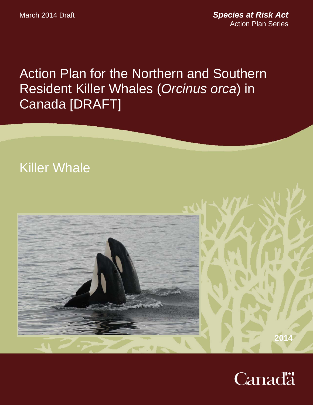March 2014 Draft

*Species at Risk Act* Action Plan Series

Action Plan for the Northern and Southern Resident Killer Whales (*Orcinus orca*) in Canada [DRAFT]

# Killer Whale



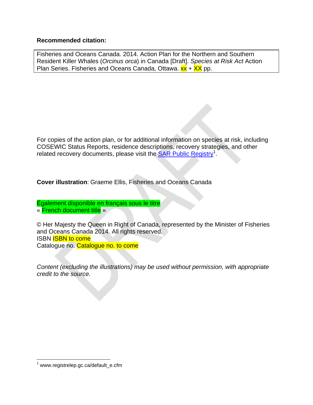### **Recommended citation:**

Fisheries and Oceans Canada. 2014. Action Plan for the Northern and Southern Resident Killer Whales (*Orcinus orca*) in Canada [Draft]. *Species at Risk Act* Action Plan Series. Fisheries and Oceans Canada, Ottawa.  $xx + XX$  pp.

For copies of the action plan, or for additional information on species at risk, including COSEWIC Status Reports, residence descriptions, recovery strategies, and other related recovery documents, please visit the **SAR Public Registry**<sup>1</sup>.

**Cover illustration**: Graeme Ellis, Fisheries and Oceans Canada

Également disponible en français sous le titre « French document title »

© Her Majesty the Queen in Right of Canada, represented by the Minister of Fisheries and Oceans Canada 2014. All rights reserved. ISBN ISBN to come Catalogue no. Catalogue no. to come

*Content (excluding the illustrations) may be used without permission, with appropriate credit to the source.* 

 $\overline{a}$ 

<sup>&</sup>lt;sup>1</sup> www.registrelep.gc.ca/default\_e.cfm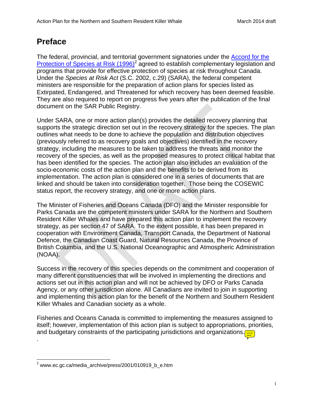# **Preface**

The federal, provincial, and territorial government signatories under the Accord for the Protection of Species at Risk (1996)<sup>2</sup> agreed to establish complementary legislation and programs that provide for effective protection of species at risk throughout Canada. Under the *Species at Risk Act* (S.C. 2002, c.29) (SARA), the federal competent ministers are responsible for the preparation of action plans for species listed as Extirpated, Endangered, and Threatened for which recovery has been deemed feasible. They are also required to report on progress five years after the publication of the final document on the SAR Public Registry.

Under SARA, one or more action plan(s) provides the detailed recovery planning that supports the strategic direction set out in the recovery strategy for the species. The plan outlines what needs to be done to achieve the population and distribution objectives (previously referred to as recovery goals and objectives) identified in the recovery strategy, including the measures to be taken to address the threats and monitor the recovery of the species, as well as the proposed measures to protect critical habitat that has been identified for the species. The action plan also includes an evaluation of the socio-economic costs of the action plan and the benefits to be derived from its implementation. The action plan is considered one in a series of documents that are linked and should be taken into consideration together. Those being the COSEWIC status report, the recovery strategy, and one or more action plans.

The Minister of Fisheries and Oceans Canada (DFO) and the Minister responsible for Parks Canada are the competent ministers under SARA for the Northern and Southern Resident Killer Whales and have prepared this action plan to implement the recovery strategy, as per section 47 of SARA. To the extent possible, it has been prepared in cooperation with Environment Canada, Transport Canada, the Department of National Defence, the Canadian Coast Guard, Natural Resources Canada, the Province of British Columbia, and the U.S. National Oceanographic and Atmospheric Administration (NOAA).

Success in the recovery of this species depends on the commitment and cooperation of many different constituencies that will be involved in implementing the directions and actions set out in this action plan and will not be achieved by DFO or Parks Canada Agency, or any other jurisdiction alone. All Canadians are invited to join in supporting and implementing this action plan for the benefit of the Northern and Southern Resident Killer Whales and Canadian society as a whole.

Fisheries and Oceans Canada is committed to implementing the measures assigned to itself; however, implementation of this action plan is subject to appropriations, priorities, and budgetary constraints of the participating jurisdictions and organizations. $\equiv$ 

.

 $\overline{a}$ 

<sup>&</sup>lt;sup>2</sup> www.ec.gc.ca/media\_archive/press/2001/010919\_b\_e.htm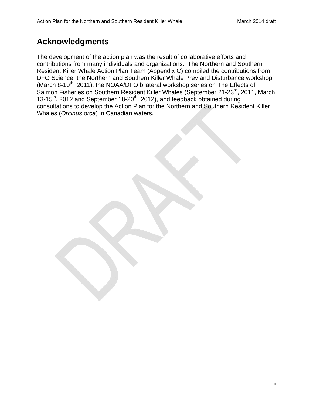# **Acknowledgments**

The development of the action plan was the result of collaborative efforts and contributions from many individuals and organizations. The Northern and Southern Resident Killer Whale Action Plan Team (Appendix C) compiled the contributions from DFO Science, the Northern and Southern Killer Whale Prey and Disturbance workshop (March 8-10<sup>th</sup>, 2011), the NOAA/DFO bilateral workshop series on The Effects of Salmon Fisheries on Southern Resident Killer Whales (September 21-23rd, 2011, March 13-15<sup>th</sup>, 2012 and September 18-20<sup>th</sup>, 2012), and feedback obtained during consultations to develop the Action Plan for the Northern and Southern Resident Killer Whales (*Orcinus orca*) in Canadian waters.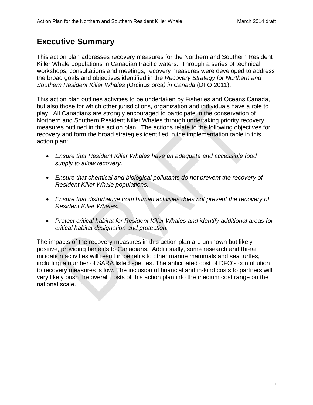# **Executive Summary**

This action plan addresses recovery measures for the Northern and Southern Resident Killer Whale populations in Canadian Pacific waters. Through a series of technical workshops, consultations and meetings, recovery measures were developed to address the broad goals and objectives identified in the *Recovery Strategy for Northern and Southern Resident Killer Whales (*Orcinus orca*) in Canada* (DFO 2011).

This action plan outlines activities to be undertaken by Fisheries and Oceans Canada, but also those for which other jurisdictions, organization and individuals have a role to play. All Canadians are strongly encouraged to participate in the conservation of Northern and Southern Resident Killer Whales through undertaking priority recovery measures outlined in this action plan. The actions relate to the following objectives for recovery and form the broad strategies identified in the implementation table in this action plan:

- *Ensure that Resident Killer Whales have an adequate and accessible food supply to allow recovery.*
- *Ensure that chemical and biological pollutants do not prevent the recovery of Resident Killer Whale populations.*
- *Ensure that disturbance from human activities does not prevent the recovery of Resident Killer Whales.*
- *Protect critical habitat for Resident Killer Whales and identify additional areas for critical habitat designation and protection.*

The impacts of the recovery measures in this action plan are unknown but likely positive, providing benefits to Canadians. Additionally, some research and threat mitigation activities will result in benefits to other marine mammals and sea turtles, including a number of SARA listed species. The anticipated cost of DFO's contribution to recovery measures is low. The inclusion of financial and in-kind costs to partners will very likely push the overall costs of this action plan into the medium cost range on the national scale.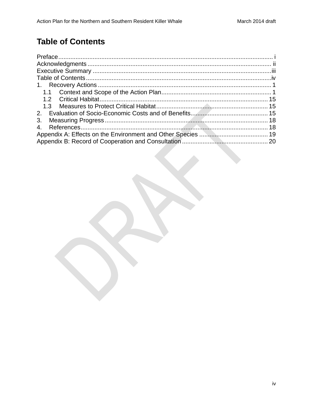# **Table of Contents**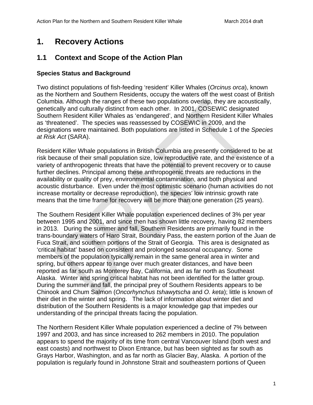# **1. Recovery Actions**

# **1.1 Context and Scope of the Action Plan**

### **Species Status and Background**

Two distinct populations of fish-feeding 'resident' Killer Whales (*Orcinus orca*), known as the Northern and Southern Residents, occupy the waters off the west coast of British Columbia. Although the ranges of these two populations overlap, they are acoustically, genetically and culturally distinct from each other. In 2001, COSEWIC designated Southern Resident Killer Whales as 'endangered', and Northern Resident Killer Whales as 'threatened'. The species was reassessed by COSEWIC in 2009, and the designations were maintained. Both populations are listed in Schedule 1 of the *Species at Risk Act* (SARA).

Resident Killer Whale populations in British Columbia are presently considered to be at risk because of their small population size, low reproductive rate, and the existence of a variety of anthropogenic threats that have the potential to prevent recovery or to cause further declines. Principal among these anthropogenic threats are reductions in the availability or quality of prey, environmental contamination, and both physical and acoustic disturbance. Even under the most optimistic scenario (human activities do not increase mortality or decrease reproduction), the species' low intrinsic growth rate means that the time frame for recovery will be more than one generation (25 years).

The Southern Resident Killer Whale population experienced declines of 3% per year between 1995 and 2001, and since then has shown little recovery, having 82 members in 2013. During the summer and fall, Southern Residents are primarily found in the trans-boundary waters of Haro Strait, Boundary Pass, the eastern portion of the Juan de Fuca Strait, and southern portions of the Strait of Georgia. This area is designated as 'critical habitat' based on consistent and prolonged seasonal occupancy. Some members of the population typically remain in the same general area in winter and spring, but others appear to range over much greater distances, and have been reported as far south as Monterey Bay, California, and as far north as Southeast Alaska. Winter and spring critical habitat has not been identified for the latter group. During the summer and fall, the principal prey of Southern Residents appears to be Chinook and Chum Salmon (*Oncorhynchus tshawytscha* and *O. keta*); little is known of their diet in the winter and spring. The lack of information about winter diet and distribution of the Southern Residents is a major knowledge gap that impedes our understanding of the principal threats facing the population.

The Northern Resident Killer Whale population experienced a decline of 7% between 1997 and 2003, and has since increased to 262 members in 2010. The population appears to spend the majority of its time from central Vancouver Island (both west and east coasts) and northwest to Dixon Entrance, but has been sighted as far south as Grays Harbor, Washington, and as far north as Glacier Bay, Alaska. A portion of the population is regularly found in Johnstone Strait and southeastern portions of Queen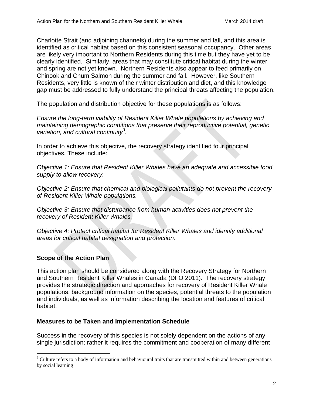Charlotte Strait (and adjoining channels) during the summer and fall, and this area is identified as critical habitat based on this consistent seasonal occupancy. Other areas are likely very important to Northern Residents during this time but they have yet to be clearly identified. Similarly, areas that may constitute critical habitat during the winter and spring are not yet known. Northern Residents also appear to feed primarily on Chinook and Chum Salmon during the summer and fall. However, like Southern Residents, very little is known of their winter distribution and diet, and this knowledge gap must be addressed to fully understand the principal threats affecting the population.

The population and distribution objective for these populations is as follows:

*Ensure the long-term viability of Resident Killer Whale populations by achieving and maintaining demographic conditions that preserve their reproductive potential, genetic variation, and cultural continuity<sup>3</sup> .* 

In order to achieve this objective, the recovery strategy identified four principal objectives. These include:

*Objective 1: Ensure that Resident Killer Whales have an adequate and accessible food supply to allow recovery.* 

*Objective 2: Ensure that chemical and biological pollutants do not prevent the recovery of Resident Killer Whale populations.* 

*Objective 3: Ensure that disturbance from human activities does not prevent the recovery of Resident Killer Whales.* 

*Objective 4: Protect critical habitat for Resident Killer Whales and identify additional areas for critical habitat designation and protection.* 

### **Scope of the Action Plan**

1

This action plan should be considered along with the Recovery Strategy for Northern and Southern Resident Killer Whales in Canada (DFO 2011). The recovery strategy provides the strategic direction and approaches for recovery of Resident Killer Whale populations, background information on the species, potential threats to the population and individuals, as well as information describing the location and features of critical habitat.

### **Measures to be Taken and Implementation Schedule**

Success in the recovery of this species is not solely dependent on the actions of any single jurisdiction; rather it requires the commitment and cooperation of many different

 $3$  Culture refers to a body of information and behavioural traits that are transmitted within and between generations by social learning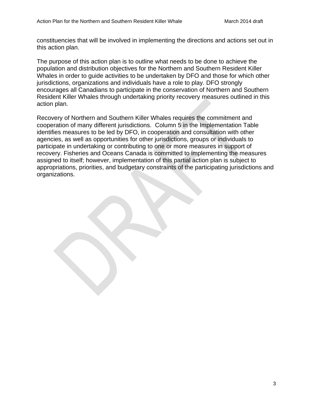constituencies that will be involved in implementing the directions and actions set out in this action plan.

The purpose of this action plan is to outline what needs to be done to achieve the population and distribution objectives for the Northern and Southern Resident Killer Whales in order to guide activities to be undertaken by DFO and those for which other jurisdictions, organizations and individuals have a role to play. DFO strongly encourages all Canadians to participate in the conservation of Northern and Southern Resident Killer Whales through undertaking priority recovery measures outlined in this action plan.

Recovery of Northern and Southern Killer Whales requires the commitment and cooperation of many different jurisdictions. Column 5 in the Implementation Table identifies measures to be led by DFO, in cooperation and consultation with other agencies, as well as opportunities for other jurisdictions, groups or individuals to participate in undertaking or contributing to one or more measures in support of recovery. Fisheries and Oceans Canada is committed to implementing the measures assigned to itself; however, implementation of this partial action plan is subject to appropriations, priorities, and budgetary constraints of the participating jurisdictions and organizations.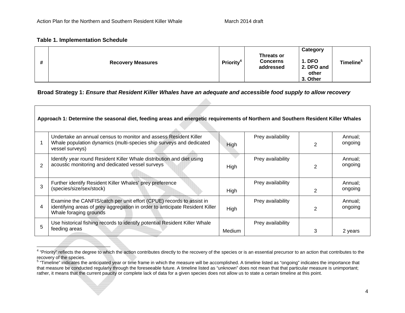#### **Table 1. Implementation Schedule**

| # | <b>Recovery Measures</b> | <b>Priority<sup>4</sup></b> | <b>Threats or</b><br><b>Concerns</b><br>addressed | Category<br><b>1. DFO</b><br>2. DFO and<br>other | <b>Timeline</b> <sup>5</sup> |
|---|--------------------------|-----------------------------|---------------------------------------------------|--------------------------------------------------|------------------------------|
|   |                          |                             |                                                   | 3. Other                                         |                              |

#### **Broad Strategy 1:** *Ensure that Resident Killer Whales have an adequate and accessible food supply to allow recovery*

|                | Approach 1: Determine the seasonal diet, feeding areas and energetic requirements of Northern and Southern Resident Killer Whales                                              |               |                   |   |                    |  |  |  |
|----------------|--------------------------------------------------------------------------------------------------------------------------------------------------------------------------------|---------------|-------------------|---|--------------------|--|--|--|
|                | Undertake an annual census to monitor and assess Resident Killer<br>Whale population dynamics (multi-species ship surveys and dedicated<br>vessel surveys)                     | High          | Prey availability | 2 | Annual;<br>ongoing |  |  |  |
| $\overline{2}$ | Identify year round Resident Killer Whale distribution and diet using<br>acoustic monitoring and dedicated vessel surveys                                                      | High          | Prey availability | 2 | Annual;<br>ongoing |  |  |  |
| 3              | Further identify Resident Killer Whales' prey preference<br>(species/size/sex/stock)                                                                                           | High          | Prey availability | 2 | Annual;<br>ongoing |  |  |  |
| 4              | Examine the CANFIS/catch per unit effort (CPUE) records to assist in<br>identifying areas of prey aggregation in order to anticipate Resident Killer<br>Whale foraging grounds | High          | Prey availability | 2 | Annual;<br>ongoing |  |  |  |
| 5              | Use historical fishing records to identify potential Resident Killer Whale<br>feeding areas                                                                                    | <b>Medium</b> | Prey availability | 3 | 2 years            |  |  |  |

<sup>&</sup>lt;sup>4</sup> "Priority" reflects the degree to which the action contributes directly to the recovery of the species or is an essential precursor to an action that contributes to the recovery of the species.

<sup>&</sup>lt;sup>5</sup> "Timeline" indicates the anticipated year or time frame in which the measure will be accomplished. A timeline listed as "ongoing" indicates the importance that that measure be conducted regularly through the foreseeable future. A timeline listed as "unknown" does not mean that that particular measure is unimportant; rather, it means that the current paucity or complete lack of data for a given species does not allow us to state a certain timeline at this point.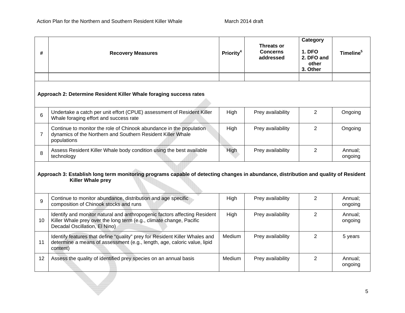| #              | <b>Recovery Measures</b>                                                                                                                                                          | <b>Priority<sup>4</sup></b> | <b>Threats or</b><br><b>Concerns</b><br>addressed | Category<br><b>1. DFO</b><br>2. DFO and<br>other<br>3. Other | Timeline <sup>5</sup> |  |  |  |  |
|----------------|-----------------------------------------------------------------------------------------------------------------------------------------------------------------------------------|-----------------------------|---------------------------------------------------|--------------------------------------------------------------|-----------------------|--|--|--|--|
|                |                                                                                                                                                                                   |                             |                                                   |                                                              |                       |  |  |  |  |
|                | Approach 2: Determine Resident Killer Whale foraging success rates                                                                                                                |                             |                                                   |                                                              |                       |  |  |  |  |
| 6              | Undertake a catch per unit effort (CPUE) assessment of Resident Killer<br>Whale foraging effort and success rate                                                                  | High                        | Prey availability                                 | 2                                                            | Ongoing               |  |  |  |  |
| $\overline{7}$ | Continue to monitor the role of Chinook abundance in the population<br>dynamics of the Northern and Southern Resident Killer Whale<br>populations                                 | High                        | Prey availability                                 | $\overline{2}$                                               | Ongoing               |  |  |  |  |
| 8              | Assess Resident Killer Whale body condition using the best available<br>technology                                                                                                | High                        | Prey availability                                 | 2                                                            | Annual;<br>ongoing    |  |  |  |  |
|                | Approach 3: Establish long term monitoring programs capable of detecting changes in abundance, distribution and quality of Resident<br><b>Killer Whale prey</b>                   |                             |                                                   |                                                              |                       |  |  |  |  |
| 9              | Continue to monitor abundance, distribution and age specific<br>composition of Chinook stocks and runs                                                                            | High                        | Prey availability                                 | $\overline{2}$                                               | Annual;<br>ongoing    |  |  |  |  |
| 10             | Identify and monitor natural and anthropogenic factors affecting Resident<br>Killer Whale prey over the long term (e.g., climate change, Pacific<br>Decadal Oscillation, El Nino) | High                        | Prey availability                                 | $\overline{2}$                                               | Annual;<br>ongoing    |  |  |  |  |
| 11             | Identify features that define "quality" prey for Resident Killer Whales and<br>determine a means of assessment (e.g., length, age, caloric value, lipid<br>content)               | Medium                      | Prey availability                                 | $\overline{2}$                                               | 5 years               |  |  |  |  |
| 12             | Assess the quality of identified prey species on an annual basis                                                                                                                  | Medium                      | Prey availability                                 | $\overline{2}$                                               | Annual;<br>ongoing    |  |  |  |  |
|                |                                                                                                                                                                                   |                             |                                                   |                                                              |                       |  |  |  |  |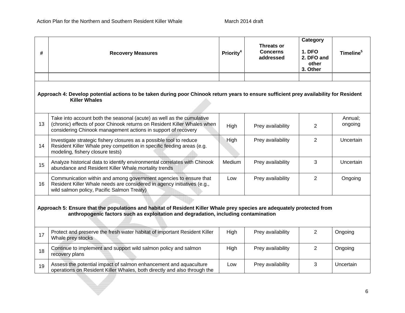| #                                                                                                                                                                                                              | <b>Recovery Measures</b>                                                                                                                                                                                           | Priority <sup>4</sup> | Threats or<br><b>Concerns</b><br>addressed | Category<br><b>1. DFO</b><br>2. DFO and<br>other<br>3. Other | Timeline <sup>5</sup> |  |  |  |
|----------------------------------------------------------------------------------------------------------------------------------------------------------------------------------------------------------------|--------------------------------------------------------------------------------------------------------------------------------------------------------------------------------------------------------------------|-----------------------|--------------------------------------------|--------------------------------------------------------------|-----------------------|--|--|--|
|                                                                                                                                                                                                                |                                                                                                                                                                                                                    |                       |                                            |                                                              |                       |  |  |  |
| Approach 4: Develop potential actions to be taken during poor Chinook return years to ensure sufficient prey availability for Resident<br><b>Killer Whales</b>                                                 |                                                                                                                                                                                                                    |                       |                                            |                                                              |                       |  |  |  |
| 13                                                                                                                                                                                                             | Take into account both the seasonal (acute) as well as the cumulative<br>(chronic) effects of poor Chinook returns on Resident Killer Whales when<br>considering Chinook management actions in support of recovery | High                  | Prey availability                          | $\overline{2}$                                               | Annual;<br>ongoing    |  |  |  |
| 14                                                                                                                                                                                                             | Investigate strategic fishery closures as a possible tool to reduce<br>Resident Killer Whale prey competition in specific feeding areas (e.g.<br>modeling, fishery closure tests)                                  | High                  | Prey availability                          | 2                                                            | Uncertain             |  |  |  |
| 15                                                                                                                                                                                                             | Analyze historical data to identify environmental correlates with Chinook<br>abundance and Resident Killer Whale mortality trends                                                                                  | Medium                | Prey availability                          | 3                                                            | Uncertain             |  |  |  |
| 16                                                                                                                                                                                                             | Communication within and among government agencies to ensure that<br>Resident Killer Whale needs are considered in agency initiatives (e.g.,<br>wild salmon policy, Pacific Salmon Treaty)                         | Low                   | Prey availability                          | $\overline{2}$                                               | Ongoing               |  |  |  |
| Approach 5: Ensure that the populations and habitat of Resident Killer Whale prey species are adequately protected from<br>anthropogenic factors such as exploitation and degradation, including contamination |                                                                                                                                                                                                                    |                       |                                            |                                                              |                       |  |  |  |
| 17                                                                                                                                                                                                             | Protect and preserve the fresh water habitat of important Resident Killer<br>Whale prey stocks                                                                                                                     | High                  | Prey availability                          | $\overline{2}$                                               | Ongoing               |  |  |  |
| 18                                                                                                                                                                                                             | Continue to implement and support wild salmon policy and salmon<br>recovery plans                                                                                                                                  | High                  | Prey availability                          | $\overline{2}$                                               | Ongoing               |  |  |  |
| 19                                                                                                                                                                                                             | Assess the potential impact of salmon enhancement and aquaculture<br>operations on Resident Killer Whales, both directly and also through the                                                                      | Low                   | Prey availability                          | 3                                                            | Uncertain             |  |  |  |
|                                                                                                                                                                                                                |                                                                                                                                                                                                                    |                       |                                            |                                                              |                       |  |  |  |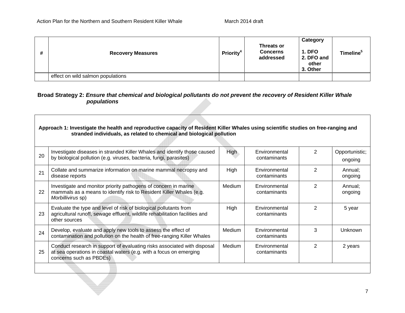| # | <b>Recovery Measures</b>          | <b>Priority<sup>4</sup></b> | <b>Threats or</b><br><b>Concerns</b><br>addressed | Category<br><b>1. DFO</b><br>2. DFO and<br>other<br>3. Other | Timeline <sup>5</sup> |
|---|-----------------------------------|-----------------------------|---------------------------------------------------|--------------------------------------------------------------|-----------------------|
|   | effect on wild salmon populations |                             |                                                   |                                                              |                       |

### **Broad Strategy 2:** *Ensure that chemical and biological pollutants do not prevent the recovery of Resident Killer Whale populations*

|    | Approach 1: Investigate the health and reproductive capacity of Resident Killer Whales using scientific studies on free-ranging and<br>stranded individuals, as related to chemical and biological pollution |             |                               |                |                           |  |  |
|----|--------------------------------------------------------------------------------------------------------------------------------------------------------------------------------------------------------------|-------------|-------------------------------|----------------|---------------------------|--|--|
| 20 | Investigate diseases in stranded Killer Whales and identify those caused<br>by biological pollution (e.g. viruses, bacteria, fungi, parasites)                                                               | <b>High</b> | Environmental<br>contaminants | 2              | Opportunistic;<br>ongoing |  |  |
| 21 | Collate and summarize information on marine mammal necropsy and<br>disease reports                                                                                                                           | High        | Environmental<br>contaminants | 2              | Annual;<br>ongoing        |  |  |
| 22 | Investigate and monitor priority pathogens of concern in marine<br>mammals as a means to identify risk to Resident Killer Whales (e.g.<br>Morbillivirus sp)                                                  | Medium      | Environmental<br>contaminants | $\overline{2}$ | Annual;<br>ongoing        |  |  |
| 23 | Evaluate the type and level of risk of biological pollutants from<br>agricultural runoff, sewage effluent, wildlife rehabilitation facilities and<br>other sources                                           | High        | Environmental<br>contaminants | 2              | 5 year                    |  |  |
| 24 | Develop, evaluate and apply new tools to assess the effect of<br>contamination and pollution on the health of free-ranging Killer Whales                                                                     | Medium      | Environmental<br>contaminants | 3              | <b>Unknown</b>            |  |  |
| 25 | Conduct research in support of evaluating risks associated with disposal<br>at sea operations in coastal waters (e.g. with a focus on emerging<br>concerns such as PBDEs)                                    | Medium      | Environmental<br>contaminants | 2              | 2 years                   |  |  |
|    |                                                                                                                                                                                                              |             |                               |                |                           |  |  |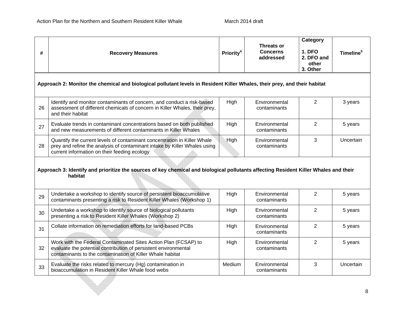| #                                                                                                                         | <b>Recovery Measures</b>                                                                                                                                                                              | Priority <sup>4</sup> | Threats or<br><b>Concerns</b><br>addressed | Category<br><b>1. DFO</b><br>2. DFO and<br>other<br>3. Other | Timeline <sup>5</sup> |  |  |  |
|---------------------------------------------------------------------------------------------------------------------------|-------------------------------------------------------------------------------------------------------------------------------------------------------------------------------------------------------|-----------------------|--------------------------------------------|--------------------------------------------------------------|-----------------------|--|--|--|
| Approach 2: Monitor the chemical and biological pollutant levels in Resident Killer Whales, their prey, and their habitat |                                                                                                                                                                                                       |                       |                                            |                                                              |                       |  |  |  |
| 26                                                                                                                        | Identify and monitor contaminants of concern, and conduct a risk-based<br>assessment of different chemicals of concern in Killer Whales, their prey,<br>and their habitat                             | High                  | Environmental<br>contaminants              | $\overline{2}$                                               | 3 years               |  |  |  |
| 27                                                                                                                        | Evaluate trends in contaminant concentrations based on both published<br>and new measurements of different contaminants in Killer Whales                                                              | High                  | Environmental<br>contaminants              | $\overline{2}$                                               | 5 years               |  |  |  |
| 28                                                                                                                        | Quantify the current levels of contaminant concentration in Killer Whale<br>prey and refine the analysis of contaminant intake by Killer Whales using<br>current information on their feeding ecology | High                  | Environmental<br>contaminants              | 3                                                            | Uncertain             |  |  |  |
|                                                                                                                           | Approach 3: Identify and prioritize the sources of key chemical and biological pollutants affecting Resident Killer Whales and their<br>habitat                                                       |                       |                                            |                                                              |                       |  |  |  |
| 29                                                                                                                        | Undertake a workshop to identify source of persistent bioaccumulative<br>contaminants presenting a risk to Resident Killer Whales (Workshop 1)                                                        | High                  | Environmental<br>contaminants              | $\overline{2}$                                               | 5 years               |  |  |  |
| 30                                                                                                                        | Undertake a workshop to identify source of biological pollutants<br>presenting a risk to Resident Killer Whales (Workshop 2)                                                                          | High                  | Environmental<br>contaminants              | $\overline{2}$                                               | 5 years               |  |  |  |
| 31                                                                                                                        | Collate information on remediation efforts for land-based PCBs                                                                                                                                        | High                  | Environmental<br>contaminants              | $\overline{2}$                                               | 5 years               |  |  |  |
| 32                                                                                                                        | Work with the Federal Contaminated Sites Action Plan (FCSAP) to<br>evaluate the potential contribution of persistent environmental<br>contaminants to the contamination of Killer Whale habitat       | High                  | Environmental<br>contaminants              | 2                                                            | 5 years               |  |  |  |
| 33                                                                                                                        | Evaluate the risks related to mercury (Hg) contamination in<br>bioaccumulation in Resident Killer Whale food webs                                                                                     | Medium                | Environmental<br>contaminants              | 3                                                            | Uncertain             |  |  |  |
|                                                                                                                           |                                                                                                                                                                                                       |                       |                                            |                                                              | $\circ$               |  |  |  |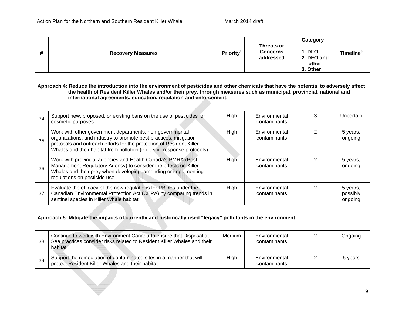| #                                                                                                                                                                                                                                                                                                                                  | <b>Recovery Measures</b>                                                                                                                                                                                                                                                          | Priority <sup>4</sup> | Threats or<br><b>Concerns</b><br>addressed | Category<br><b>1. DFO</b><br>2. DFO and<br>other<br>3. Other | Timeline <sup>5</sup>           |  |  |
|------------------------------------------------------------------------------------------------------------------------------------------------------------------------------------------------------------------------------------------------------------------------------------------------------------------------------------|-----------------------------------------------------------------------------------------------------------------------------------------------------------------------------------------------------------------------------------------------------------------------------------|-----------------------|--------------------------------------------|--------------------------------------------------------------|---------------------------------|--|--|
| Approach 4: Reduce the introduction into the environment of pesticides and other chemicals that have the potential to adversely affect<br>the health of Resident Killer Whales and/or their prey, through measures such as municipal, provincial, national and<br>international agreements, education, regulation and enforcement. |                                                                                                                                                                                                                                                                                   |                       |                                            |                                                              |                                 |  |  |
| 34                                                                                                                                                                                                                                                                                                                                 | Support new, proposed, or existing bans on the use of pesticides for<br>cosmetic purposes                                                                                                                                                                                         | High                  | Environmental<br>contaminants              | 3                                                            | Uncertain                       |  |  |
| 35                                                                                                                                                                                                                                                                                                                                 | Work with other government departments, non-governmental<br>organizations, and industry to promote best practices, mitigation<br>protocols and outreach efforts for the protection of Resident Killer<br>Whales and their habitat from pollution (e.g., spill response protocols) | High                  | Environmental<br>contaminants              | 2                                                            | 5 years;<br>ongoing             |  |  |
| 36                                                                                                                                                                                                                                                                                                                                 | Work with provincial agencies and Health Canada's PMRA (Pest<br>Management Regulatory Agency) to consider the effects on Killer<br>Whales and their prey when developing, amending or implementing<br>regulations on pesticide use                                                | High                  | Environmental<br>contaminants              | 2                                                            | 5 years,<br>ongoing             |  |  |
| 37                                                                                                                                                                                                                                                                                                                                 | Evaluate the efficacy of the new regulations for PBDEs under the<br>Canadian Environmental Protection Act (CEPA) by comparing trends in<br>sentinel species in Killer Whale habitat                                                                                               | High                  | Environmental<br>contaminants              | 2                                                            | 5 years;<br>possibly<br>ongoing |  |  |
| Approach 5: Mitigate the impacts of currently and historically used "legacy" pollutants in the environment                                                                                                                                                                                                                         |                                                                                                                                                                                                                                                                                   |                       |                                            |                                                              |                                 |  |  |
| 38                                                                                                                                                                                                                                                                                                                                 | Continue to work with Environment Canada to ensure that Disposal at<br>Sea practices consider risks related to Resident Killer Whales and their<br>habitat                                                                                                                        | Medium                | Environmental<br>contaminants              | 2                                                            | Ongoing                         |  |  |
| 39                                                                                                                                                                                                                                                                                                                                 | Support the remediation of contaminated sites in a manner that will<br>protect Resident Killer Whales and their habitat                                                                                                                                                           | High                  | Environmental<br>contaminants              | $\overline{2}$                                               | 5 years                         |  |  |
|                                                                                                                                                                                                                                                                                                                                    |                                                                                                                                                                                                                                                                                   |                       |                                            |                                                              | $\Omega$                        |  |  |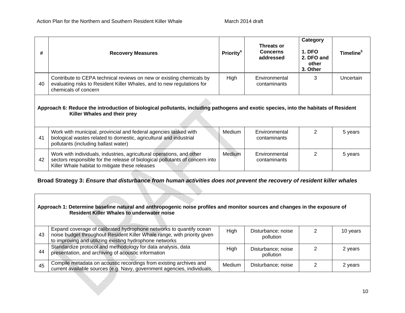| #  | <b>Recovery Measures</b>                                                                                                                                                                                 | <b>Priority<sup>4</sup></b> | Threats or<br><b>Concerns</b><br>addressed | Category<br><b>1. DFO</b><br>2. DFO and<br>other<br>3. Other | Timeline <sup>5</sup> |  |  |  |
|----|----------------------------------------------------------------------------------------------------------------------------------------------------------------------------------------------------------|-----------------------------|--------------------------------------------|--------------------------------------------------------------|-----------------------|--|--|--|
| 40 | Contribute to CEPA technical reviews on new or existing chemicals by<br>evaluating risks to Resident Killer Whales, and to new regulations for<br>chemicals of concern                                   | High                        | Environmental<br>contaminants              | 3                                                            | Uncertain             |  |  |  |
|    | Approach 6: Reduce the introduction of biological pollutants, including pathogens and exotic species, into the habitats of Resident<br>Killer Whales and their prey                                      |                             |                                            |                                                              |                       |  |  |  |
| 41 | Work with municipal, provincial and federal agencies tasked with<br>biological wastes related to domestic, agricultural and industrial<br>pollutants (including ballast water)                           | Medium                      | Environmental<br>contaminants              | 2                                                            | 5 years               |  |  |  |
| 42 | Work with individuals, industries, agricultural operations, and other<br>sectors responsible for the release of biological pollutants of concern into<br>Killer Whale habitat to mitigate these releases | Medium                      | Environmental<br>contaminants              | 2                                                            | 5 years               |  |  |  |

### **Broad Strategy 3:** *Ensure that disturbance from human activities does not prevent the recovery of resident killer whales*

| Approach 1: Determine baseline natural and anthropogenic noise profiles and monitor sources and changes in the exposure of<br><b>Resident Killer Whales to underwater noise</b> |                                                                                                                                                                                                            |        |                                 |   |            |  |  |
|---------------------------------------------------------------------------------------------------------------------------------------------------------------------------------|------------------------------------------------------------------------------------------------------------------------------------------------------------------------------------------------------------|--------|---------------------------------|---|------------|--|--|
| 43                                                                                                                                                                              | Expand coverage of calibrated hydrophone networks to quantify ocean<br>noise budget throughout Resident Killer Whale range, with priority given<br>to improving and utilizing existing hydrophone networks | High   | Disturbance; noise<br>pollution | 2 | 10 years   |  |  |
| 44                                                                                                                                                                              | Standardize protocol and methodology for data analysis, data<br>presentation, and archiving of acoustic information                                                                                        | High   | Disturbance; noise<br>pollution | 2 | 2 years    |  |  |
| 45                                                                                                                                                                              | Compile metadata on acoustic recordings from existing archives and<br>current available sources (e.g. Navy, government agencies, individuals,                                                              | Medium | Disturbance; noise              | 2 | 2 years    |  |  |
|                                                                                                                                                                                 |                                                                                                                                                                                                            |        |                                 |   | $\sqrt{2}$ |  |  |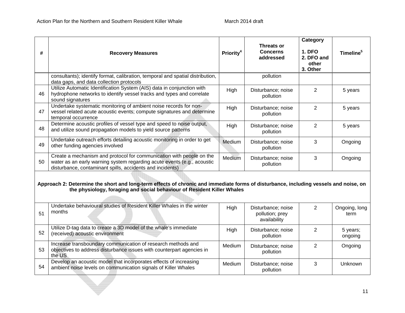| #  | <b>Recovery Measures</b>                                                                                                                                                                                        | Priority <sup>4</sup> | Threats or<br><b>Concerns</b><br>addressed            | <b>Category</b><br><b>1. DFO</b><br>2. DFO and<br>other<br>3. Other | Timeline <sup>5</sup> |
|----|-----------------------------------------------------------------------------------------------------------------------------------------------------------------------------------------------------------------|-----------------------|-------------------------------------------------------|---------------------------------------------------------------------|-----------------------|
|    | consultants); identify format, calibration, temporal and spatial distribution,<br>data gaps, and data collection protocols                                                                                      |                       | pollution                                             |                                                                     |                       |
| 46 | Utilize Automatic Identification System (AIS) data in conjunction with<br>hydrophone networks to identify vessel tracks and types and correlate<br>sound signatures                                             | High                  | Disturbance; noise<br>pollution                       | $\overline{2}$                                                      | 5 years               |
| 47 | Undertake systematic monitoring of ambient noise records for non-<br>vessel related acute acoustic events; compute signatures and determine<br>temporal occurrence                                              | High                  | Disturbance; noise<br>pollution                       | $\overline{2}$                                                      | 5 years               |
| 48 | Determine acoustic profiles of vessel type and speed to noise output,<br>and utilize sound propagation models to yield source patterns                                                                          | High                  | Disturbance; noise<br>pollution                       | $\overline{2}$                                                      | 5 years               |
| 49 | Undertake outreach efforts detailing acoustic monitoring in order to get<br>other funding agencies involved                                                                                                     | Medium                | Disturbance; noise<br>pollution                       | 3                                                                   | Ongoing               |
| 50 | Create a mechanism and protocol for communication with people on the<br>water as an early warning system regarding acute events (e.g., acoustic<br>disturbance, contaminant spills, accidents and incidents)    | Medium                | Disturbance; noise<br>pollution                       | 3                                                                   | Ongoing               |
|    | Approach 2: Determine the short and long-term effects of chronic and immediate forms of disturbance, including vessels and noise, on<br>the physiology, foraging and social behaviour of Resident Killer Whales |                       |                                                       |                                                                     |                       |
| 51 | Undertake behavioural studies of Resident Killer Whales in the winter<br>months                                                                                                                                 | High                  | Disturbance; noise<br>pollution; prey<br>availability | 2                                                                   | Ongoing, long<br>term |
| 52 | Utilize D-tag data to create a 3D model of the whale's immediate<br>(received) acoustic environment                                                                                                             | High                  | Disturbance; noise<br>pollution                       | $\overline{2}$                                                      | 5 years;<br>ongoing   |
| 53 | Increase transboundary communication of research methods and<br>objectives to address disturbance issues with counterpart agencies in<br>the US                                                                 | Medium                | Disturbance; noise<br>pollution                       | $\overline{2}$                                                      | Ongoing               |
| 54 | Develop an acoustic model that incorporates effects of increasing<br>ambient noise levels on communication signals of Killer Whales                                                                             | Medium                | Disturbance; noise<br>pollution                       | 3                                                                   | Unknown               |
|    |                                                                                                                                                                                                                 |                       |                                                       |                                                                     | 44                    |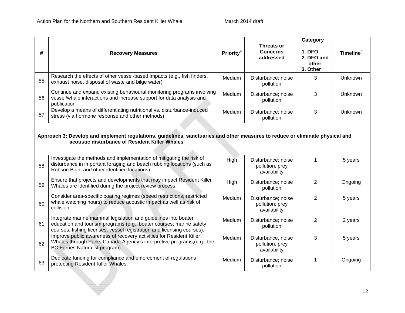| #                                                                                                                                                                               | <b>Recovery Measures</b>                                                                                                                                                                                        | Priority <sup>4</sup> | <b>Threats or</b><br><b>Concerns</b><br>addressed     | Category<br><b>1. DFO</b><br>2. DFO and<br>other<br>3. Other | Timeline <sup>5</sup> |
|---------------------------------------------------------------------------------------------------------------------------------------------------------------------------------|-----------------------------------------------------------------------------------------------------------------------------------------------------------------------------------------------------------------|-----------------------|-------------------------------------------------------|--------------------------------------------------------------|-----------------------|
| 55                                                                                                                                                                              | Research the effects of other vessel-based impacts (e.g., fish finders,<br>exhaust noise, disposal of waste and bilge water)                                                                                    | Medium                | Disturbance; noise<br>pollution                       | 3                                                            | Unknown               |
| 56                                                                                                                                                                              | Continue and expand existing behavioural monitoring programs involving<br>vessel/whale interactions and increase support for data analysis and<br>publication                                                   | Medium                | Disturbance; noise<br>pollution                       | 3                                                            | Unknown               |
| 57                                                                                                                                                                              | Develop a means of differentiating nutritional vs. disturbance-induced<br>stress (via hormone response and other methods)                                                                                       | Medium                | Disturbance; noise<br>pollution                       | 3                                                            | Unknown               |
| Approach 3: Develop and implement regulations, guidelines, sanctuaries and other measures to reduce or eliminate physical and<br>acoustic disturbance of Resident Killer Whales |                                                                                                                                                                                                                 |                       |                                                       |                                                              |                       |
| 58                                                                                                                                                                              | Investigate the methods and implementation of mitigating the risk of<br>disturbance in important foraging and beach rubbing locations (such as<br>Robson Bight and other identified locations).                 | High                  | Disturbance; noise<br>pollution; prey<br>availability | $\mathbf 1$                                                  | 5 years               |
| 59                                                                                                                                                                              | Ensure that projects and developments that may impact Resident Killer<br>Whales are identified during the project review process.                                                                               | High                  | Disturbance; noise<br>pollution                       | $\overline{2}$                                               | Ongoing               |
| 60                                                                                                                                                                              | Consider area-specific boating regimes (speed restrictions, restricted<br>whale watching hours) to reduce acoustic impact as well as risk of<br>collision.                                                      | Medium                | Disturbance; noise<br>pollution; prey<br>availability | $\overline{2}$                                               | 5 years               |
| 61                                                                                                                                                                              | Integrate marine mammal legislation and guidelines into boater<br>education and tourism programs (e.g., boater courses; marine safety<br>courses, fishing licenses, vessel registration and licensing courses). | Medium                | Disturbance; noise<br>pollution                       | 2                                                            | 2 years               |
| 62                                                                                                                                                                              | Improve public awareness of recovery activities for Resident Killer<br>Whales through Parks Canada Agency's interpretive programs, (e.g., the<br><b>BC Ferries Naturalist program)</b>                          | Medium                | Disturbance, noise<br>pollution; prey<br>availability | 3                                                            | 5 years               |
| 63                                                                                                                                                                              | Dedicate funding for compliance and enforcement of regulations<br>protecting Resident Killer Whales.                                                                                                            | Medium                | Disturbance; noise<br>pollution                       | $\mathbf 1$                                                  | Ongoing               |
|                                                                                                                                                                                 |                                                                                                                                                                                                                 |                       |                                                       |                                                              | 12                    |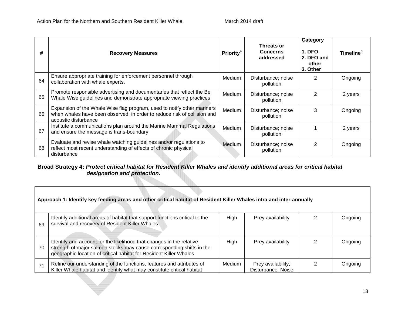| #  | <b>Recovery Measures</b>                                                                                                                                                    | <b>Priority<sup>4</sup></b> | Threats or<br><b>Concerns</b><br>addressed | Category<br><b>1. DFO</b><br>2. DFO and<br>other<br>3. Other | <b>Timeline</b> <sup>5</sup> |
|----|-----------------------------------------------------------------------------------------------------------------------------------------------------------------------------|-----------------------------|--------------------------------------------|--------------------------------------------------------------|------------------------------|
| 64 | Ensure appropriate training for enforcement personnel through<br>collaboration with whale experts.                                                                          | <b>Medium</b>               | Disturbance; noise<br>pollution            | 2                                                            | Ongoing                      |
| 65 | Promote responsible advertising and documentaries that reflect the Be<br>Whale Wise guidelines and demonstrate appropriate viewing practices                                | <b>Medium</b>               | Disturbance; noise<br>pollution            | 2                                                            | 2 years                      |
| 66 | Expansion of the Whale Wise flag program, used to notify other mariners<br>when whales have been observed, in order to reduce risk of collision and<br>acoustic disturbance | Medium                      | Disturbance; noise<br>pollution            | 3                                                            | Ongoing                      |
| 67 | Institute a communications plan around the Marine Mammal Regulations<br>and ensure the message is trans-boundary                                                            | <b>Medium</b>               | Disturbance; noise<br>pollution            |                                                              | 2 years                      |
| 68 | Evaluate and revise whale watching guidelines and/or regulations to<br>reflect most recent understanding of effects of chronic physical<br>disturbance                      | Medium                      | Disturbance; noise<br>pollution            | $\mathfrak{p}$                                               | Ongoing                      |

#### **Broad Strategy 4:** *Protect critical habitat for Resident Killer Whales and identify additional areas for critical habitat designation and protection.*

| Approach 1: Identify key feeding areas and other critical habitat of Resident Killer Whales intra and inter-annually |                                                                                                                                                                                                                     |        |                                          |  |         |
|----------------------------------------------------------------------------------------------------------------------|---------------------------------------------------------------------------------------------------------------------------------------------------------------------------------------------------------------------|--------|------------------------------------------|--|---------|
| 69                                                                                                                   | Identify additional areas of habitat that support functions critical to the<br>survival and recovery of Resident Killer Whales                                                                                      | High   | Prey availability                        |  | Ongoing |
| 70                                                                                                                   | Identify and account for the likelihood that changes in the relative<br>strength of major salmon stocks may cause corresponding shifts in the<br>geographic location of critical habitat for Resident Killer Whales | High   | Prey availability                        |  | Ongoing |
| 71                                                                                                                   | Refine our understanding of the functions, features and attributes of<br>Killer Whale habitat and identify what may constitute critical habitat                                                                     | Medium | Prey availability;<br>Disturbance; Noise |  | Ongoing |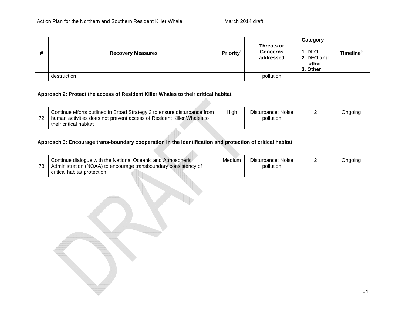| #                                                                                                         | <b>Recovery Measures</b>                                                                                                                                                    | <b>Priority<sup>4</sup></b> | Threats or<br><b>Concerns</b><br>addressed | Category<br><b>1. DFO</b><br>2. DFO and<br>other<br>3. Other | Timeline <sup>5</sup> |
|-----------------------------------------------------------------------------------------------------------|-----------------------------------------------------------------------------------------------------------------------------------------------------------------------------|-----------------------------|--------------------------------------------|--------------------------------------------------------------|-----------------------|
|                                                                                                           | destruction                                                                                                                                                                 |                             | pollution                                  |                                                              |                       |
| Approach 2: Protect the access of Resident Killer Whales to their critical habitat                        |                                                                                                                                                                             |                             |                                            |                                                              |                       |
| 72                                                                                                        | Continue efforts outlined in Broad Strategy 3 to ensure disturbance from<br>human activities does not prevent access of Resident Killer Whales to<br>their critical habitat | High                        | Disturbance; Noise<br>pollution            | 2                                                            | Ongoing               |
| Approach 3: Encourage trans-boundary cooperation in the identification and protection of critical habitat |                                                                                                                                                                             |                             |                                            |                                                              |                       |
| 73                                                                                                        | Continue dialogue with the National Oceanic and Atmospheric<br>Administration (NOAA) to encourage transboundary consistency of<br>critical habitat protection               | Medium                      | Disturbance; Noise<br>pollution            | $\mathcal{P}$                                                | Ongoing               |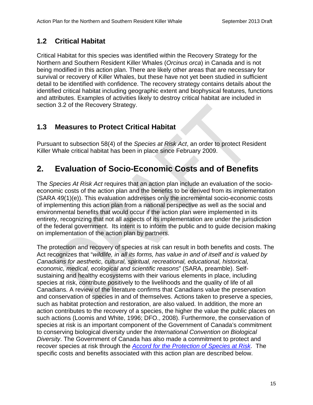# **1.2 Critical Habitat**

Critical Habitat for this species was identified within the Recovery Strategy for the Northern and Southern Resident Killer Whales (*Orcinus orca*) in Canada and is not being modified in this action plan. There are likely other areas that are necessary for survival or recovery of Killer Whales, but these have not yet been studied in sufficient detail to be identified with confidence. The recovery strategy contains details about the identified critical habitat including geographic extent and biophysical features, functions and attributes. Examples of activities likely to destroy critical habitat are included in section 3.2 of the Recovery Strategy.

# **1.3 Measures to Protect Critical Habitat**

Pursuant to subsection 58(4) of the *Species at Risk Act*, an order to protect Resident Killer Whale critical habitat has been in place since February 2009.

# **2. Evaluation of Socio-Economic Costs and of Benefits**

The *Species At Risk Act* requires that an action plan include an evaluation of the socioeconomic costs of the action plan and the benefits to be derived from its implementation (SARA 49(1)(e)). This evaluation addresses only the incremental socio-economic costs of implementing this action plan from a national perspective as well as the social and environmental benefits that would occur if the action plan were implemented in its entirety, recognizing that not all aspects of its implementation are under the jurisdiction of the federal government. Its intent is to inform the public and to guide decision making on implementation of the action plan by partners.

The protection and recovery of species at risk can result in both benefits and costs. The Act recognizes that "*wildlife, in all its forms, has value in and of itself and is valued by Canadians for aesthetic, cultural, spiritual, recreational, educational, historical, economic, medical, ecological and scientific reasons*" (SARA, preamble). Selfsustaining and healthy ecosystems with their various elements in place, including species at risk, contribute positively to the livelihoods and the quality of life of all Canadians. A review of the literature confirms that Canadians value the preservation and conservation of species in and of themselves. Actions taken to preserve a species, such as habitat protection and restoration, are also valued. In addition, the more an action contributes to the recovery of a species, the higher the value the public places on such actions (Loomis and White, 1996; DFO., 2008). Furthermore, the conservation of species at risk is an important component of the Government of Canada's commitment to conserving biological diversity under the *International Convention on Biological Diversity*. The Government of Canada has also made a commitment to protect and recover species at risk through the *Accord for the Protection of Species at Risk*. The specific costs and benefits associated with this action plan are described below.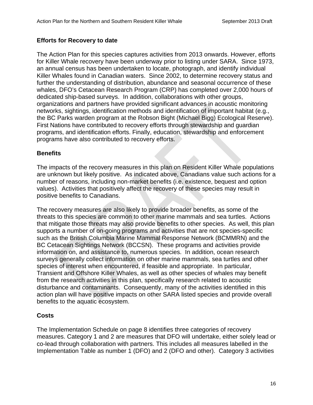### **Efforts for Recovery to date**

The Action Plan for this species captures activities from 2013 onwards. However, efforts for Killer Whale recovery have been underway prior to listing under SARA. Since 1973, an annual census has been undertaken to locate, photograph, and identify individual Killer Whales found in Canadian waters. Since 2002, to determine recovery status and further the understanding of distribution, abundance and seasonal occurrence of these whales, DFO's Cetacean Research Program (CRP) has completed over 2,000 hours of dedicated ship-based surveys. In addition, collaborations with other groups, organizations and partners have provided significant advances in acoustic monitoring networks, sightings, identification methods and identification of important habitat (e.g., the BC Parks warden program at the Robson Bight (Michael Bigg) Ecological Reserve). First Nations have contributed to recovery efforts through stewardship and guardian programs, and identification efforts. Finally, education, stewardship and enforcement programs have also contributed to recovery efforts.

### **Benefits**

The impacts of the recovery measures in this plan on Resident Killer Whale populations are unknown but likely positive. As indicated above, Canadians value such actions for a number of reasons, including non-market benefits (i.e. existence, bequest and option values). Activities that positively affect the recovery of these species may result in positive benefits to Canadians.

The recovery measures are also likely to provide broader benefits, as some of the threats to this species are common to other marine mammals and sea turtles. Actions that mitigate those threats may also provide benefits to other species. As well, this plan supports a number of on-going programs and activities that are not species-specific such as the British Columbia Marine Mammal Response Network (BCMMRN) and the BC Cetacean Sightings Network (BCCSN). These programs and activities provide information on, and assistance to, numerous species. In addition, ocean research surveys generally collect information on other marine mammals, sea turtles and other species of interest when encountered, if feasible and appropriate. In particular, Transient and Offshore Killer Whales, as well as other species of whales may benefit from the research activities in this plan, specifically research related to acoustic disturbance and contaminants. Consequently, many of the activities identified in this action plan will have positive impacts on other SARA listed species and provide overall benefits to the aquatic ecosystem.

### **Costs**

The Implementation Schedule on page 8 identifies three categories of recovery measures. Category 1 and 2 are measures that DFO will undertake, either solely lead or co-lead through collaboration with partners. This includes all measures labelled in the Implementation Table as number 1 (DFO) and 2 (DFO and other). Category 3 activities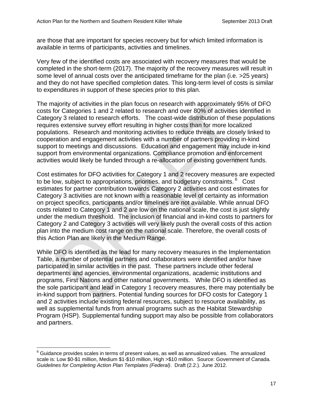are those that are important for species recovery but for which limited information is available in terms of participants, activities and timelines.

Very few of the identified costs are associated with recovery measures that would be completed in the short-term (2017). The majority of the recovery measures will result in some level of annual costs over the anticipated timeframe for the plan (i.e. >25 years) and they do not have specified completion dates. This long-term level of costs is similar to expenditures in support of these species prior to this plan.

The majority of activities in the plan focus on research with approximately 95% of DFO costs for Categories 1 and 2 related to research and over 80% of activities identified in Category 3 related to research efforts. The coast-wide distribution of these populations requires extensive survey effort resulting in higher costs than for more localized populations. Research and monitoring activities to reduce threats are closely linked to cooperation and engagement activities with a number of partners providing in-kind support to meetings and discussions. Education and engagement may include in-kind support from environmental organizations. Compliance promotion and enforcement activities would likely be funded through a re-allocation of existing government funds.

Cost estimates for DFO activities for Category 1 and 2 recovery measures are expected to be low, subject to appropriations, priorities, and budgetary constraints.<sup>6</sup> Cost estimates for partner contribution towards Category 2 activities and cost estimates for Category 3 activities are not known with a reasonable level of certainty as information on project specifics, participants and/or timelines are not available. While annual DFO costs related to Category 1 and 2 are low on the national scale, the cost is just slightly under the medium threshold. The inclusion of financial and in-kind costs to partners for Category 2 and Category 3 activities will very likely push the overall costs of this action plan into the medium cost range on the national scale. Therefore, the overall costs of this Action Plan are likely in the Medium Range.

While DFO is identified as the lead for many recovery measures in the Implementation Table, a number of potential partners and collaborators were identified and/or have participated in similar activities in the past. These partners include other federal departments and agencies, environmental organizations, academic institutions and programs, First Nations and other national governments. While DFO is identified as the sole participant and lead in Category 1 recovery measures, there may potentially be in-kind support from partners. Potential funding sources for DFO costs for Category 1 and 2 activities include existing federal resources, subject to resource availability, as well as supplemental funds from annual programs such as the Habitat Stewardship Program (HSP). Supplemental funding support may also be possible from collaborators and partners.

<sup>1</sup>  $^6$  Guidance provides scales in terms of present values, as well as annualized values. The annualized scale is: Low \$0-\$1 million, Medium \$1-\$10 million, High >\$10 million. Source: Government of Canada. *Guidelines for Completing Action Plan Templates (Federal)*. Draft (2.2.). June 2012.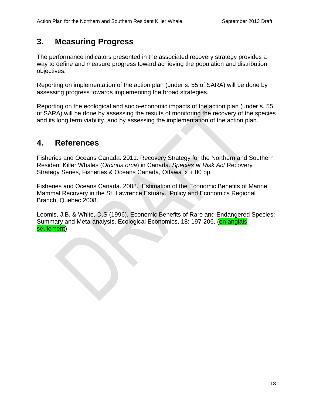# **3. Measuring Progress**

The performance indicators presented in the associated recovery strategy provides a way to define and measure progress toward achieving the population and distribution objectives.

Reporting on implementation of the action plan (under s. 55 of SARA) will be done by assessing progress towards implementing the broad strategies.

Reporting on the ecological and socio-economic impacts of the action plan (under s. 55 of SARA) will be done by assessing the results of monitoring the recovery of the species and its long term viability, and by assessing the implementation of the action plan.

# **4. References**

Fisheries and Oceans Canada. 2011. Recovery Strategy for the Northern and Southern Resident Killer Whales (*Orcinus orca*) in Canada. *Species at Risk Act* Recovery Strategy Series, Fisheries & Oceans Canada, Ottawa ix + 80 pp.

Fisheries and Oceans Canada. 2008. Estimation of the Economic Benefits of Marine Mammal Recovery in the St. Lawrence Estuary. Policy and Economics Regional Branch, Quebec 2008.

Loomis, J.B. & White, D.S (1996). Economic Benefits of Rare and Endangered Species: Summary and Meta-analysis. Ecological Economics, 18: 197-206. (**en anglais** seulement)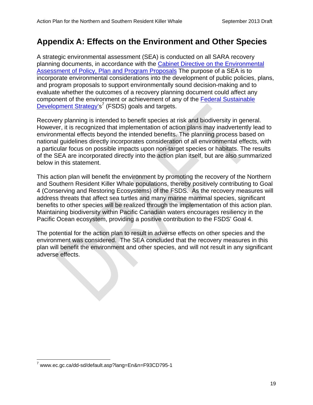# **Appendix A: Effects on the Environment and Other Species**

A strategic environmental assessment (SEA) is conducted on all SARA recovery planning documents, in accordance with the Cabinet Directive on the Environmental Assessment of Policy, Plan and Program Proposals The purpose of a SEA is to incorporate environmental considerations into the development of public policies, plans, and program proposals to support environmentally sound decision-making and to evaluate whether the outcomes of a recovery planning document could affect any component of the environment or achievement of any of the Federal Sustainable Development Strategy's<sup>7</sup> (FSDS) goals and targets.

Recovery planning is intended to benefit species at risk and biodiversity in general. However, it is recognized that implementation of action plans may inadvertently lead to environmental effects beyond the intended benefits. The planning process based on national guidelines directly incorporates consideration of all environmental effects, with a particular focus on possible impacts upon non-target species or habitats. The results of the SEA are incorporated directly into the action plan itself, but are also summarized below in this statement.

This action plan will benefit the environment by promoting the recovery of the Northern and Southern Resident Killer Whale populations, thereby positively contributing to Goal 4 (Conserving and Restoring Ecosystems) of the FSDS. As the recovery measures will address threats that affect sea turtles and many marine mammal species, significant benefits to other species will be realized through the implementation of this action plan. Maintaining biodiversity within Pacific Canadian waters encourages resiliency in the Pacific Ocean ecosystem, providing a positive contribution to the FSDS' Goal 4.

The potential for the action plan to result in adverse effects on other species and the environment was considered. The SEA concluded that the recovery measures in this plan will benefit the environment and other species, and will not result in any significant adverse effects.

 $\overline{a}$ <sup>7</sup> www.ec.gc.ca/dd-sd/default.asp?lang=En&n=F93CD795-1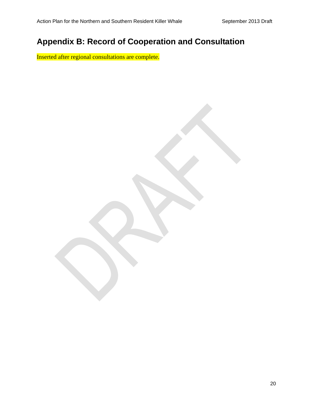# **Appendix B: Record of Cooperation and Consultation**

Inserted after regional consultations are complete.

20